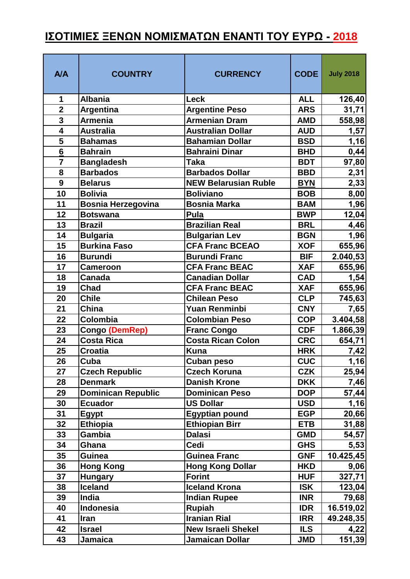## **ΙΣΟΤΙΜΙΕΣ ΞΕΝΩΝ ΝΟΜΙΣΜΑΤΩΝ ΕΝΑΝΤΙ ΤΟΥ ΕΥΡΩ - 2018**

| <b>A/A</b>              | <b>COUNTRY</b>            | <b>CURRENCY</b>             | <b>CODE</b> | <b>July 2018</b> |
|-------------------------|---------------------------|-----------------------------|-------------|------------------|
| 1                       | <b>Albania</b>            | <b>Leck</b>                 | <b>ALL</b>  | 126,40           |
| $\overline{2}$          | <b>Argentina</b>          | <b>Argentine Peso</b>       | <b>ARS</b>  | 31,71            |
| $\overline{3}$          | <b>Armenia</b>            | <b>Armenian Dram</b>        | <b>AMD</b>  | 558,98           |
| $\overline{\mathbf{4}}$ | <b>Australia</b>          | <b>Australian Dollar</b>    | <b>AUD</b>  | 1,57             |
| 5                       | <b>Bahamas</b>            | <b>Bahamian Dollar</b>      | <b>BSD</b>  | 1,16             |
| $6\overline{6}$         | <b>Bahrain</b>            | <b>Bahraini Dinar</b>       | <b>BHD</b>  | 0,44             |
| $\overline{7}$          | <b>Bangladesh</b>         | <b>Taka</b>                 | <b>BDT</b>  | 97,80            |
| 8                       | <b>Barbados</b>           | <b>Barbados Dollar</b>      | <b>BBD</b>  | 2,31             |
| 9                       | <b>Belarus</b>            | <b>NEW Belarusian Ruble</b> | <b>BYN</b>  | 2,33             |
| 10                      | <b>Bolivia</b>            | <b>Boliviano</b>            | <b>BOB</b>  | 8,00             |
| 11                      | <b>Bosnia Herzegovina</b> | <b>Bosnia Marka</b>         | <b>BAM</b>  | 1,96             |
| 12                      | <b>Botswana</b>           | Pula                        | <b>BWP</b>  | 12,04            |
| 13                      | <b>Brazil</b>             | <b>Brazilian Real</b>       | <b>BRL</b>  | 4,46             |
| 14                      | <b>Bulgaria</b>           | <b>Bulgarian Lev</b>        | <b>BGN</b>  | 1,96             |
| 15                      | <b>Burkina Faso</b>       | <b>CFA Franc BCEAO</b>      | <b>XOF</b>  | 655,96           |
| 16                      | <b>Burundi</b>            | <b>Burundi Franc</b>        | <b>BIF</b>  | 2.040,53         |
| 17                      | <b>Cameroon</b>           | <b>CFA Franc BEAC</b>       | <b>XAF</b>  | 655,96           |
| 18                      | <b>Canada</b>             | <b>Canadian Dollar</b>      | <b>CAD</b>  | 1,54             |
| 19                      | <b>Chad</b>               | <b>CFA Franc BEAC</b>       | <b>XAF</b>  | 655,96           |
| 20                      | <b>Chile</b>              | <b>Chilean Peso</b>         | <b>CLP</b>  | 745,63           |
| 21                      | China                     | <b>Yuan Renminbi</b>        | <b>CNY</b>  | 7,65             |
| 22                      | Colombia                  | <b>Colombian Peso</b>       | <b>COP</b>  | 3.404,58         |
| 23                      | Congo (DemRep)            | <b>Franc Congo</b>          | <b>CDF</b>  | 1.866,39         |
| 24                      | <b>Costa Rica</b>         | <b>Costa Rican Colon</b>    | <b>CRC</b>  | 654,71           |
| 25                      | <b>Croatia</b>            | <b>Kuna</b>                 | <b>HRK</b>  | 7,42             |
| 26                      | Cuba                      | <b>Cuban peso</b>           | <b>CUC</b>  | 1,16             |
| 27                      | <b>Czech Republic</b>     | <b>Czech Koruna</b>         | <b>CZK</b>  | 25,94            |
| 28                      | <b>Denmark</b>            | <b>Danish Krone</b>         | <b>DKK</b>  | 7,46             |
| 29                      | <b>Dominican Republic</b> | <b>Dominican Peso</b>       | <b>DOP</b>  | 57,44            |
| 30                      | <b>Ecuador</b>            | <b>US Dollar</b>            | <b>USD</b>  | 1,16             |
| 31                      | <b>Egypt</b>              | <b>Egyptian pound</b>       | <b>EGP</b>  | 20,66            |
| 32                      | <b>Ethiopia</b>           | <b>Ethiopian Birr</b>       | <b>ETB</b>  | 31,88            |
| 33                      | Gambia                    | <b>Dalasi</b>               | <b>GMD</b>  | 54,57            |
| 34                      | Ghana                     | Cedi                        | <b>GHS</b>  | 5,53             |
| 35                      | <b>Guinea</b>             | <b>Guinea Franc</b>         | <b>GNF</b>  | 10.425,45        |
| 36                      | <b>Hong Kong</b>          | <b>Hong Kong Dollar</b>     | <b>HKD</b>  | 9,06             |
| 37                      | <b>Hungary</b>            | <b>Forint</b>               | <b>HUF</b>  | 327,71           |
| 38                      | <b>Iceland</b>            | <b>Iceland Krona</b>        | <b>ISK</b>  | 123,04           |
| 39                      | India                     | <b>Indian Rupee</b>         | <b>INR</b>  | 79,68            |
| 40                      | Indonesia                 | <b>Rupiah</b>               | <b>IDR</b>  | 16.519,02        |
| 41                      | Iran                      | <b>Iranian Rial</b>         | <b>IRR</b>  | 49.248,35        |
| 42                      | <b>Israel</b>             | <b>New Israeli Shekel</b>   | <b>ILS</b>  | 4,22             |
| 43                      | Jamaica                   | Jamaican Dollar             | <b>JMD</b>  | 151,39           |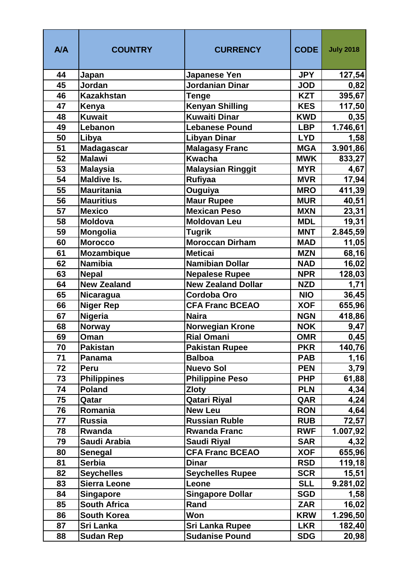| <b>A/A</b> | <b>COUNTRY</b>           | <b>CURRENCY</b>                        | <b>CODE</b>              | <b>July 2018</b> |
|------------|--------------------------|----------------------------------------|--------------------------|------------------|
| 44         | Japan                    | <b>Japanese Yen</b>                    | <b>JPY</b>               | 127,54           |
| 45         | Jordan                   | Jordanian Dinar                        | <b>JOD</b>               | 0,82             |
| 46         | <b>Kazakhstan</b>        | <b>Tenge</b>                           | <b>KZT</b>               | 395,67           |
| 47         | Kenya                    | <b>Kenyan Shilling</b>                 | <b>KES</b>               | 117,50           |
| 48         | <b>Kuwait</b>            | <b>Kuwaiti Dinar</b>                   | <b>KWD</b>               | 0,35             |
| 49         | Lebanon                  | <b>Lebanese Pound</b>                  | <b>LBP</b>               | 1.746,61         |
| 50         | Libya                    | <b>Libyan Dinar</b>                    | <b>LYD</b>               | 1,58             |
| 51         | <b>Madagascar</b>        | <b>Malagasy Franc</b>                  | <b>MGA</b>               | 3.901,86         |
| 52         | <b>Malawi</b>            | <b>Kwacha</b>                          | <b>MWK</b>               | 833,27           |
| 53         | <b>Malaysia</b>          | <b>Malaysian Ringgit</b>               | <b>MYR</b>               | 4,67             |
| 54         | <b>Maldive Is.</b>       | <b>Rufiyaa</b>                         | <b>MVR</b>               | 17,94            |
| 55         | <b>Mauritania</b>        | Ouguiya                                | <b>MRO</b>               | 411,39           |
| 56         | <b>Mauritius</b>         | Maur Rupee                             | <b>MUR</b>               | 40,51            |
| 57         | <b>Mexico</b>            | <b>Mexican Peso</b>                    | <b>MXN</b>               | 23,31            |
| 58         | <b>Moldova</b>           | <b>Moldovan Leu</b>                    | <b>MDL</b>               | 19,31            |
| 59         | <b>Mongolia</b>          | <b>Tugrik</b>                          | <b>MNT</b>               | 2.845,59         |
| 60         | <b>Morocco</b>           | <b>Moroccan Dirham</b>                 | <b>MAD</b>               | 11,05            |
| 61         | <b>Mozambique</b>        | <b>Meticai</b>                         | <b>MZN</b>               | 68,16            |
| 62         | <b>Namibia</b>           | <b>Namibian Dollar</b>                 | <b>NAD</b>               | 16,02            |
| 63         | <b>Nepal</b>             | <b>Nepalese Rupee</b>                  | <b>NPR</b>               | 128,03           |
| 64         | <b>New Zealand</b>       | <b>New Zealand Dollar</b>              | <b>NZD</b>               | 1,71             |
| 65         | Nicaragua                | Cordoba Oro                            | <b>NIO</b>               | 36,45            |
| 66         | <b>Niger Rep</b>         | <b>CFA Franc BCEAO</b>                 | <b>XOF</b>               | 655,96           |
| 67         | Nigeria                  | <b>Naira</b>                           | <b>NGN</b>               | 418,86           |
| 68         | <b>Norway</b>            | <b>Norwegian Krone</b>                 | <b>NOK</b>               | 9,47             |
| 69         | Oman                     | <b>Rial Omani</b>                      | <b>OMR</b>               | 0,45             |
| 70         | <b>Pakistan</b>          | <b>Pakistan Rupee</b>                  | <b>PKR</b>               | 140,76           |
| 71         | Panama                   | <b>Balboa</b>                          | <b>PAB</b>               | 1,16             |
| 72         | Peru                     | <b>Nuevo Sol</b>                       | <b>PEN</b>               | 3,79             |
| 73         | <b>Philippines</b>       | <b>Philippine Peso</b>                 | <b>PHP</b>               | 61,88            |
| 74<br>75   | <b>Poland</b>            | <b>Zloty</b>                           | <b>PLN</b>               | 4,34             |
|            | Qatar                    | <b>Qatari Riyal</b>                    | QAR                      | 4,24             |
| 76<br>77   | Romania<br><b>Russia</b> | <b>New Leu</b><br><b>Russian Ruble</b> | <b>RON</b><br><b>RUB</b> | 4,64             |
| 78         | Rwanda                   | <b>Rwanda Franc</b>                    | <b>RWF</b>               | 72,57            |
| 79         | Saudi Arabia             | Saudi Riyal                            | <b>SAR</b>               | 1.007,92         |
| 80         | Senegal                  | <b>CFA Franc BCEAO</b>                 | <b>XOF</b>               | 4,32<br>655,96   |
| 81         | <b>Serbia</b>            | <b>Dinar</b>                           | <b>RSD</b>               | 119,18           |
| 82         | <b>Seychelles</b>        | <b>Seychelles Rupee</b>                | <b>SCR</b>               | 15,51            |
| 83         | <b>Sierra Leone</b>      | Leone                                  | <b>SLL</b>               | 9.281,02         |
| 84         | <b>Singapore</b>         | <b>Singapore Dollar</b>                | <b>SGD</b>               | 1,58             |
| 85         | <b>South Africa</b>      | Rand                                   | <b>ZAR</b>               | 16,02            |
| 86         | <b>South Korea</b>       | Won                                    | <b>KRW</b>               | 1.296,50         |
| 87         | Sri Lanka                | Sri Lanka Rupee                        | <b>LKR</b>               | 182,40           |
| 88         | <b>Sudan Rep</b>         | <b>Sudanise Pound</b>                  | <b>SDG</b>               | 20,98            |